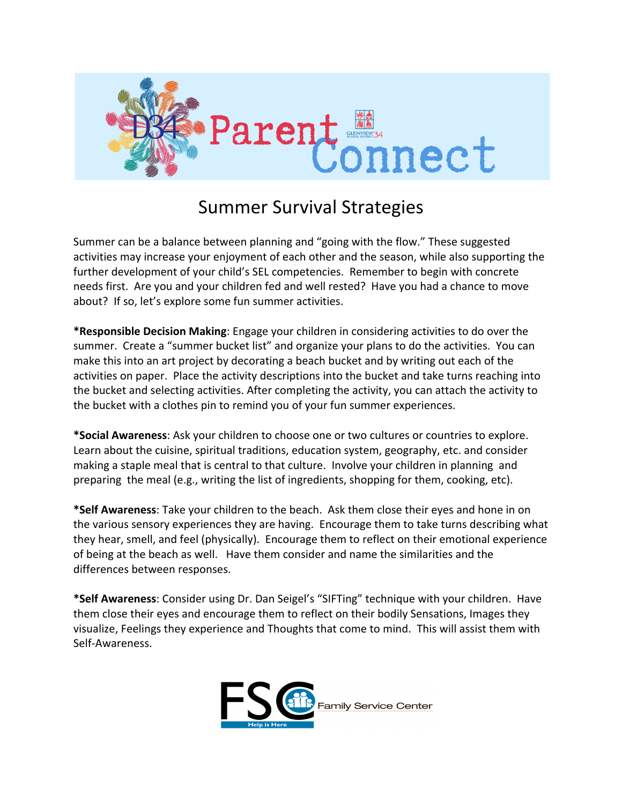

## **Summer Survival Strategies**

Summer can be a balance between planning and "going with the flow." These suggested activities may increase your enjoyment of each other and the season, while also supporting the further development of your child's SEL competencies. Remember to begin with concrete needs first. Are you and your children fed and well rested? Have you had a chance to move about? If so, let's explore some fun summer activities.

\*Responsible Decision Making: Engage your children in considering activities to do over the summer. Create a "summer bucket list" and organize your plans to do the activities. You can make this into an art project by decorating a beach bucket and by writing out each of the activities on paper. Place the activity descriptions into the bucket and take turns reaching into the bucket and selecting activities. After completing the activity, you can attach the activity to the bucket with a clothes pin to remind you of your fun summer experiences.

\*Social Awareness: Ask your children to choose one or two cultures or countries to explore. Learn about the cuisine, spiritual traditions, education system, geography, etc. and consider making a staple meal that is central to that culture. Involve your children in planning and preparing the meal (e.g., writing the list of ingredients, shopping for them, cooking, etc).

**\*Self Awareness**: Take your children to the beach. Ask them close their eyes and hone in on the various sensory experiences they are having. Encourage them to take turns describing what they hear, smell, and feel (physically). Encourage them to reflect on their emotional experience of being at the beach as well. Have them consider and name the similarities and the differences between responses.

\*Self Awareness: Consider using Dr. Dan Seigel's "SIFTing" technique with your children. Have them close their eyes and encourage them to reflect on their bodily Sensations, Images they visualize, Feelings they experience and Thoughts that come to mind. This will assist them with Self-Awareness.